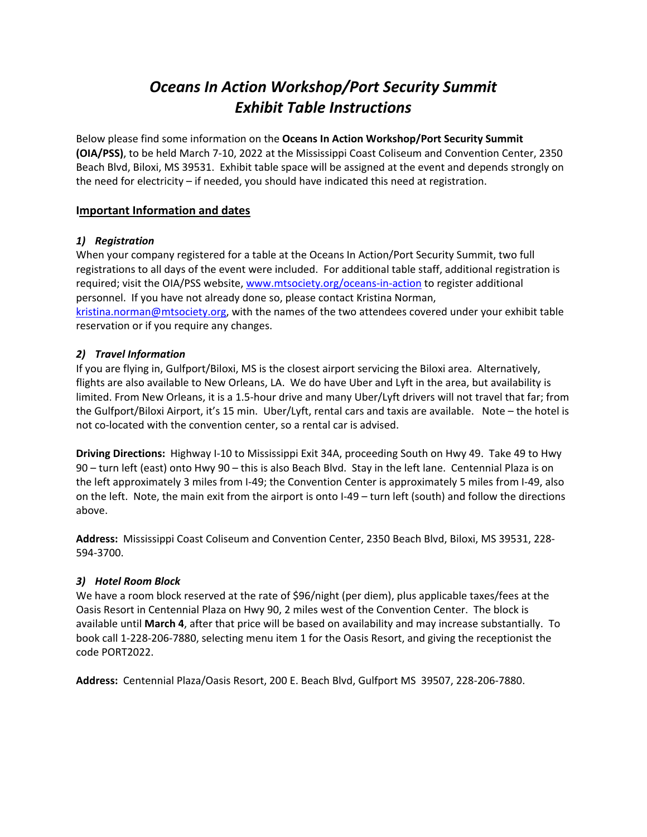# *Oceans In Action Workshop/Port Security Summit Exhibit Table Instructions*

Below please find some information on the **Oceans In Action Workshop/Port Security Summit (OIA/PSS)**, to be held March 7‐10, 2022 at the Mississippi Coast Coliseum and Convention Center, 2350 Beach Blvd, Biloxi, MS 39531. Exhibit table space will be assigned at the event and depends strongly on the need for electricity – if needed, you should have indicated this need at registration.

## **Important Information and dates**

## *1) Registration*

When your company registered for a table at the Oceans In Action/Port Security Summit, two full registrations to all days of the event were included. For additional table staff, additional registration is required; visit the OIA/PSS website, www.mtsociety.org/oceans‐in‐action to register additional personnel. If you have not already done so, please contact Kristina Norman, kristina.norman@mtsociety.org, with the names of the two attendees covered under your exhibit table reservation or if you require any changes.

# *2) Travel Information*

If you are flying in, Gulfport/Biloxi, MS is the closest airport servicing the Biloxi area. Alternatively, flights are also available to New Orleans, LA. We do have Uber and Lyft in the area, but availability is limited. From New Orleans, it is a 1.5‐hour drive and many Uber/Lyft drivers will not travel that far; from the Gulfport/Biloxi Airport, it's 15 min. Uber/Lyft, rental cars and taxis are available. Note – the hotel is not co‐located with the convention center, so a rental car is advised.

**Driving Directions:** Highway I‐10 to Mississippi Exit 34A, proceeding South on Hwy 49. Take 49 to Hwy 90 – turn left (east) onto Hwy 90 – this is also Beach Blvd. Stay in the left lane. Centennial Plaza is on the left approximately 3 miles from I‐49; the Convention Center is approximately 5 miles from I‐49, also on the left. Note, the main exit from the airport is onto I‐49 – turn left (south) and follow the directions above.

**Address:** Mississippi Coast Coliseum and Convention Center, 2350 Beach Blvd, Biloxi, MS 39531, 228‐ 594‐3700.

# *3) Hotel Room Block*

We have a room block reserved at the rate of \$96/night (per diem), plus applicable taxes/fees at the Oasis Resort in Centennial Plaza on Hwy 90, 2 miles west of the Convention Center. The block is available until **March 4**, after that price will be based on availability and may increase substantially. To book call 1‐228‐206‐7880, selecting menu item 1 for the Oasis Resort, and giving the receptionist the code PORT2022.

**Address:** Centennial Plaza/Oasis Resort, 200 E. Beach Blvd, Gulfport MS 39507, 228‐206‐7880.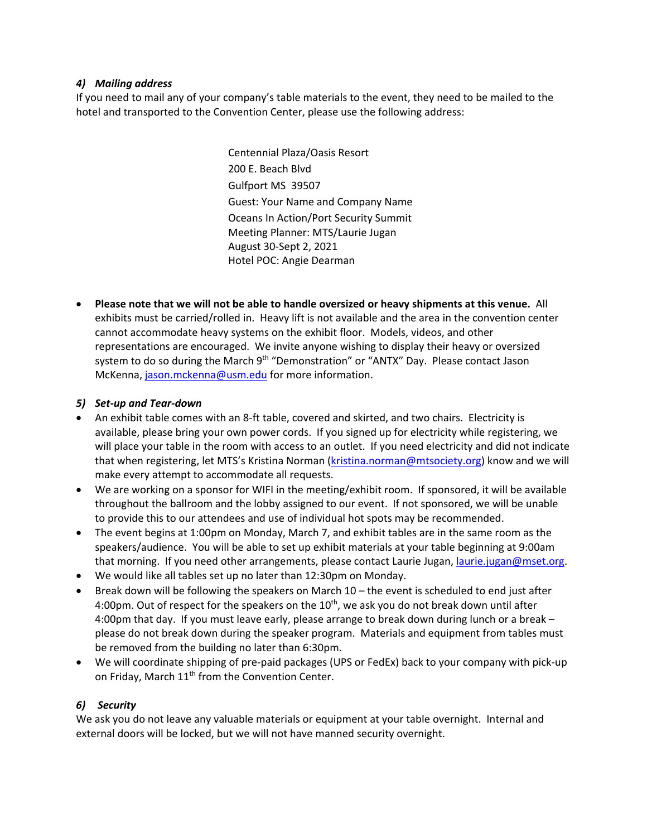#### *4) Mailing address*

If you need to mail any of your company's table materials to the event, they need to be mailed to the hotel and transported to the Convention Center, please use the following address:

> Centennial Plaza/Oasis Resort 200 E. Beach Blvd Gulfport MS 39507 Guest: Your Name and Company Name Oceans In Action/Port Security Summit Meeting Planner: MTS/Laurie Jugan August 30‐Sept 2, 2021 Hotel POC: Angie Dearman

 **Please note that we will not be able to handle oversized or heavy shipments at this venue.** All exhibits must be carried/rolled in. Heavy lift is not available and the area in the convention center cannot accommodate heavy systems on the exhibit floor. Models, videos, and other representations are encouraged. We invite anyone wishing to display their heavy or oversized system to do so during the March 9<sup>th</sup> "Demonstration" or "ANTX" Day. Please contact Jason McKenna, jason.mckenna@usm.edu for more information.

#### *5) Set‐up and Tear‐down*

- An exhibit table comes with an 8‐ft table, covered and skirted, and two chairs. Electricity is available, please bring your own power cords. If you signed up for electricity while registering, we will place your table in the room with access to an outlet. If you need electricity and did not indicate that when registering, let MTS's Kristina Norman (kristina.norman@mtsociety.org) know and we will make every attempt to accommodate all requests.
- We are working on a sponsor for WIFI in the meeting/exhibit room. If sponsored, it will be available throughout the ballroom and the lobby assigned to our event. If not sponsored, we will be unable to provide this to our attendees and use of individual hot spots may be recommended.
- The event begins at 1:00pm on Monday, March 7, and exhibit tables are in the same room as the speakers/audience. You will be able to set up exhibit materials at your table beginning at 9:00am that morning. If you need other arrangements, please contact Laurie Jugan, laurie.jugan@mset.org.
- We would like all tables set up no later than 12:30pm on Monday.
- Break down will be following the speakers on March 10 the event is scheduled to end just after 4:00pm. Out of respect for the speakers on the  $10<sup>th</sup>$ , we ask you do not break down until after 4:00pm that day. If you must leave early, please arrange to break down during lunch or a break – please do not break down during the speaker program. Materials and equipment from tables must be removed from the building no later than 6:30pm.
- We will coordinate shipping of pre‐paid packages (UPS or FedEx) back to your company with pick‐up on Friday, March 11<sup>th</sup> from the Convention Center.

# *6) Security*

We ask you do not leave any valuable materials or equipment at your table overnight. Internal and external doors will be locked, but we will not have manned security overnight.